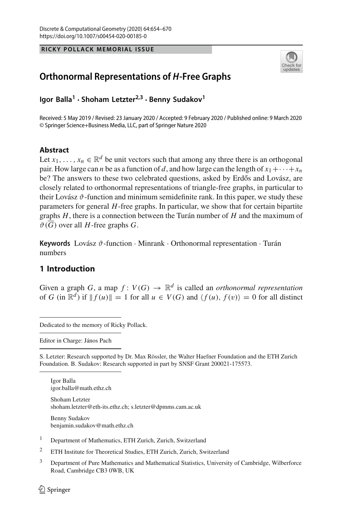**RICKY POLLACK MEMORIAL ISSUE**



# **Orthonormal Representations of** *H***-Free Graphs**

**Igor Balla1 · Shoham Letzter2,3 · Benny Sudakov<sup>1</sup>**

Received: 5 May 2019 / Revised: 23 January 2020 / Accepted: 9 February 2020 / Published online: 9 March 2020 © Springer Science+Business Media, LLC, part of Springer Nature 2020

# **Abstract**

Let  $x_1, \ldots, x_n \in \mathbb{R}^d$  be unit vectors such that among any three there is an orthogonal pair. How large can *n* be as a function of *d*, and how large can the length of  $x_1 + \cdots + x_n$ be? The answers to these two celebrated questions, asked by Erdős and Lovász, are closely related to orthonormal representations of triangle-free graphs, in particular to their Lovász  $\vartheta$ -function and minimum semidefinite rank. In this paper, we study these parameters for general *H*-free graphs. In particular, we show that for certain bipartite graphs *H*, there is a connection between the Turán number of *H* and the maximum of  $\vartheta(\overline{G})$  over all *H*-free graphs *G*.

**Keywords** Lovász ϑ-function · Minrank · Orthonormal representation · Turán numbers

# **1 Introduction**

Given a graph *G*, a map  $f: V(G) \to \mathbb{R}^d$  is called an *orthonormal representation* of *G* (in  $\mathbb{R}^d$ ) if  $|| f(u) || = 1$  for all  $u \in V(G)$  and  $\langle f(u), f(v) \rangle = 0$  for all distinct

Editor in Charge: János Pach

S. Letzter: Research supported by Dr. Max Rössler, the Walter Haefner Foundation and the ETH Zurich Foundation. B. Sudakov: Research supported in part by SNSF Grant 200021-175573.

Igor Balla igor.balla@math.ethz.ch

Shoham Letzter shoham.letzter@eth-its.ethz.ch; s.letzter@dpmms.cam.ac.uk

Benny Sudakov benjamin.sudakov@math.ethz.ch

- <sup>1</sup> Department of Mathematics, ETH Zurich, Zurich, Switzerland
- <sup>2</sup> ETH Institute for Theoretical Studies, ETH Zurich, Zurich, Switzerland
- <sup>3</sup> Department of Pure Mathematics and Mathematical Statistics, University of Cambridge, Wilberforce Road, Cambridge CB3 0WB, UK

Dedicated to the memory of Ricky Pollack.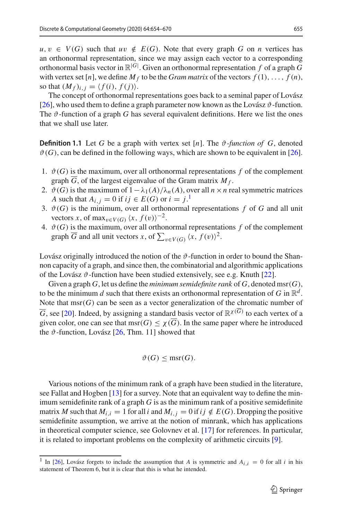$u, v \in V(G)$  such that  $uv \notin E(G)$ . Note that every graph *G* on *n* vertices has an orthonormal representation, since we may assign each vector to a corresponding orthonormal basis vector in R|*G*<sup>|</sup> . Given an orthonormal representation *f* of a graph *G* with vertex set  $[n]$ , we define  $M_f$  to be the *Gram matrix* of the vectors  $f(1), \ldots, f(n)$ , so that  $(M_f)_{i,j} = \langle f(i), f(j) \rangle$ .

<span id="page-1-1"></span>The concept of orthonormal representations goes back to a seminal paper of Lovász [\[26](#page-16-0)], who used them to define a graph parameter now known as the Lovász  $\vartheta$ -function. The  $\vartheta$ -function of a graph G has several equivalent definitions. Here we list the ones that we shall use later.

**Definition 1.1** Let *G* be a graph with vertex set  $[n]$ . The  $\vartheta$ -function of *G*, denoted  $\vartheta(G)$ , can be defined in the following ways, which are shown to be equivalent in [\[26](#page-16-0)].

- 1.  $\vartheta(G)$  is the maximum, over all orthonormal representations f of the complement graph  $\overline{G}$ , of the largest eigenvalue of the Gram matrix  $M_f$ .
- 2.  $\vartheta(G)$  is the maximum of  $1 \lambda_1(A)/\lambda_n(A)$ , over all  $n \times n$  real symmetric matrices *A* such that  $A_{i,j} = 0$  if  $ij \in E(G)$  or  $i = j$ .
- 3.  $\vartheta(G)$  is the minimum, over all orthonormal representations  $f$  of  $G$  and all unit vectors *x*, of max $v \in V(G)$   $\langle x, f(v) \rangle^{-2}$ .
- 4.  $\vartheta(G)$  is the maximum, over all orthonormal representations  $f$  of the complement graph  $\overline{G}$  and all unit vectors *x*, of  $\sum_{v \in V(G)} (x, f(v))^2$ .

Lovász originally introduced the notion of the  $\vartheta$ -function in order to bound the Shannon capacity of a graph, and since then, the combinatorial and algorithmic applications of the Lovász  $\vartheta$ -function have been studied extensively, see e.g. Knuth [\[22](#page-16-1)].

Given a graph  $G$ , let us define the *minimum semidefinite rank* of  $G$ , denoted msr( $G$ ), to be the minimum *d* such that there exists an orthonormal representation of *G* in  $\mathbb{R}^d$ . Note that msr(*G*) can be seen as a vector generalization of the chromatic number of  $\overline{G}$ , see [\[20](#page-16-2)]. Indeed, by assigning a standard basis vector of  $\mathbb{R}^{\chi(\overline{G})}$  to each vertex of a given color, one can see that msr( $G$ )  $\lt \chi(\overline{G})$ . In the same paper where he introduced the  $\vartheta$ -function, Lovász [\[26,](#page-16-0) Thm. 11] showed that

$$
\vartheta(G) \le \operatorname{msr}(G).
$$

Various notions of the minimum rank of a graph have been studied in the literature, see Fallat and Hogben [\[13\]](#page-16-3) for a survey. Note that an equivalent way to define the minimum semidefinite rank of a graph *G* is as the minimum rank of a positive semidefinite matrix *M* such that  $M_{i,i} = 1$  for all *i* and  $M_{i,j} = 0$  if  $ij \notin E(G)$ . Dropping the positive semidefinite assumption, we arrive at the notion of minrank, which has applications in theoretical computer science, see Golovnev et al. [\[17](#page-16-4)] for references. In particular, it is related to important problems on the complexity of arithmetic circuits [\[9\]](#page-16-5).

<span id="page-1-0"></span><sup>&</sup>lt;sup>1</sup> In [\[26\]](#page-16-0), Lovász forgets to include the assumption that *A* is symmetric and  $A_{i,i} = 0$  for all *i* in his statement of Theorem 6, but it is clear that this is what he intended.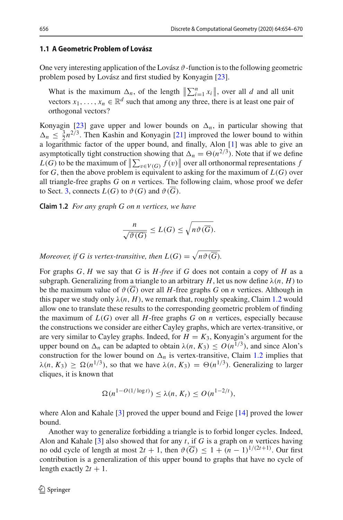### 1.1 A Geometric Problem of Lovász

One very interesting application of the Lovász  $\vartheta$ -function is to the following geometric problem posed by Lovász and first studied by Konyagin [\[23\]](#page-16-6).

What is the maximum  $\Delta_n$ , of the length  $\left\| \sum_{i=1}^n x_i \right\|$ , over all *d* and all unit vectors  $x_1, \ldots, x_n \in \mathbb{R}^d$  such that among any three, there is at least one pair of orthogonal vectors?

Konyagin [\[23](#page-16-6)] gave upper and lower bounds on  $\Delta_n$ , in particular showing that  $\Delta_n \leq \frac{3}{2} n^{2/3}$ . Then Kashin and Konyagin [\[21](#page-16-7)] improved the lower bound to within a logarithmic factor of the upper bound, and finally, Alon [\[1\]](#page-15-0) was able to give an asymptotically tight construction showing that  $\Delta_n = \Theta(n^{2/3})$ . Note that if we define  $L(G)$  to be the maximum of  $\|\sum_{v \in V(G)} f(v)\|$  over all orthonormal representations *f* for  $G$ , then the above problem is equivalent to asking for the maximum of  $L(G)$  over all triangle-free graphs *G* on *n* vertices. The following claim, whose proof we defer to Sect. [3,](#page-7-0) connects  $L(G)$  to  $\vartheta(G)$  and  $\vartheta(G)$ .

**Claim 1.2** *For any graph G on n vertices, we have*

<span id="page-2-0"></span>
$$
\frac{n}{\sqrt{\vartheta(G)}} \le L(G) \le \sqrt{n\vartheta(G)}.
$$

*Moreover, if G* is vertex-transitive, then  $L(G) = \sqrt{n\vartheta(G)}$ .

For graphs *G*, *H* we say that *G* is *H -free* if *G* does not contain a copy of *H* as a subgraph. Generalizing from a triangle to an arbitrary *H*, let us now define  $\lambda(n, H)$  to be the maximum value of  $\vartheta(G)$  over all *H*-free graphs *G* on *n* vertices. Although in this paper we study only  $\lambda(n, H)$ , we remark that, roughly speaking, Claim [1.2](#page-2-0) would allow one to translate these results to the corresponding geometric problem of finding the maximum of  $L(G)$  over all *H*-free graphs *G* on *n* vertices, especially because the constructions we consider are either Cayley graphs, which are vertex-transitive, or are very similar to Cayley graphs. Indeed, for  $H = K_3$ , Konyagin's argument for the upper bound on  $\Delta_n$  can be adapted to obtain  $\lambda(n, K_3) \leq O(n^{1/3})$ , and since Alon's construction for the lower bound on  $\Delta_n$  is vertex-transitive, Claim [1.2](#page-2-0) implies that  $\lambda(n, K_3) > \Omega(n^{1/3})$ , so that we have  $\lambda(n, K_3) = \Theta(n^{1/3})$ . Generalizing to larger cliques, it is known that

<span id="page-2-1"></span>
$$
\Omega(n^{1-O(1/\log t)}) \leq \lambda(n, K_t) \leq O(n^{1-2/t}),
$$

where Alon and Kahale [\[3](#page-15-1)] proved the upper bound and Feige [\[14\]](#page-16-8) proved the lower bound.

Another way to generalize forbidding a triangle is to forbid longer cycles. Indeed, Alon and Kahale [\[3\]](#page-15-1) also showed that for any *t*, if *G* is a graph on *n* vertices having no odd cycle of length at most  $2t + 1$ , then  $\vartheta(\overline{G}) \leq 1 + (n - 1)^{1/(2t+1)}$ . Our first contribution is a generalization of this upper bound to graphs that have no cycle of length exactly  $2t + 1$ .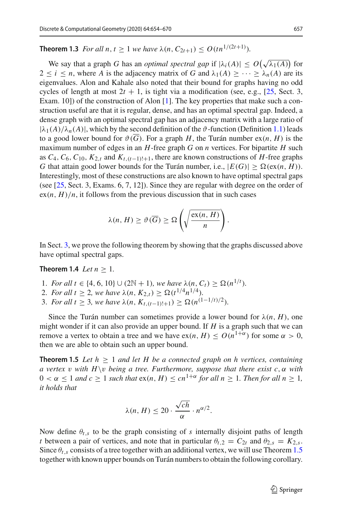**Theorem 1.3** *For all n*,  $t \geq 1$  *we have*  $\lambda(n, C_{2t+1}) \leq O(tn^{1/(2t+1)})$ *.* 

We say that a graph *G* has an *optimal spectral gap* if  $|\lambda_i(A)| \leq O(\sqrt{\lambda_1(A)})$  for  $2 \le i \le n$ , where *A* is the adjacency matrix of *G* and  $\lambda_1(A) \ge \cdots \ge \lambda_n(A)$  are its eigenvalues. Alon and Kahale also noted that their bound for graphs having no odd cycles of length at most  $2t + 1$ , is tight via a modification (see, e.g., [\[25](#page-16-9), Sect. 3, Exam. 10]) of the construction of Alon [\[1](#page-15-0)]. The key properties that make such a construction useful are that it is regular, dense, and has an optimal spectral gap. Indeed, a dense graph with an optimal spectral gap has an adjacency matrix with a large ratio of  $|\lambda_1(A)/\lambda_n(A)|$ , which by the second definition of the  $\vartheta$ -function (Definition [1.1\)](#page-1-1) leads to a good lower bound for  $\vartheta(\overline{G})$ . For a graph *H*, the Turán number  $ex(n, H)$  is the maximum number of edges in an *H*-free graph *G* on *n* vertices. For bipartite *H* such as  $C_4$ ,  $C_6$ ,  $C_{10}$ ,  $K_{2,t}$  and  $K_{t,(t-1)!+1}$ , there are known constructions of *H*-free graphs *G* that attain good lower bounds for the Turán number, i.e.,  $|E(G)| \ge \Omega(\exp(H))$ . Interestingly, most of these constructions are also known to have optimal spectral gaps (see [\[25](#page-16-9), Sect. 3, Exams. 6, 7, 12]). Since they are regular with degree on the order of  $ex(n, H)/n$ , it follows from the previous discussion that in such cases

<span id="page-3-1"></span>
$$
\lambda(n, H) \geq \vartheta(\overline{G}) \geq \Omega\left(\sqrt{\frac{\mathrm{ex}(n, H)}{n}}\right).
$$

In Sect. [3,](#page-7-0) we prove the following theorem by showing that the graphs discussed above have optimal spectral gaps.

## **Theorem 1.4** *Let*  $n \geq 1$ *.*

- 1. *For all t*  $\in$  {4, 6, 10}  $\cup$  (2N + 1)*, we have*  $\lambda(n, C_t) \geq \Omega(n^{1/t})$ *.*
- 2. *For all t*  $\geq$  2*, we have*  $\lambda(n, K_{2,t}) \geq \Omega(t^{1/4}n^{1/4})$ *.*
- 3. *For all t*  $\geq$  3*, we have*  $\lambda(n, K_{t,(t-1)!+1}) \geq \Omega(n^{(1-1/t)/2})$ .

Since the Turán number can sometimes provide a lower bound for  $\lambda(n, H)$ , one might wonder if it can also provide an upper bound. If *H* is a graph such that we can remove a vertex to obtain a tree and we have  $ex(n, H) \leq O(n^{1+\alpha})$  for some  $\alpha > 0$ , then we are able to obtain such an upper bound.

**Theorem 1.5** Let  $h \geq 1$  and let H be a connected graph on h vertices, containing *a* vertex *v* with  $H \vee v$  being a tree. Furthermore, suppose that there exist c,  $\alpha$  with  $0 < \alpha \leq 1$  and  $c \geq 1$  such that  $ex(n, H) \leq cn^{1+\alpha}$  for all  $n \geq 1$ . Then for all  $n \geq 1$ , *it holds that*

<span id="page-3-0"></span>
$$
\lambda(n, H) \leq 20 \cdot \frac{\sqrt{ch}}{\alpha} \cdot n^{\alpha/2}.
$$

<span id="page-3-2"></span>Now define  $\theta_{t,s}$  to be the graph consisting of *s* internally disjoint paths of length *t* between a pair of vertices, and note that in particular  $\theta_{t,2} = C_{2t}$  and  $\theta_{2,s} = K_{2,s}$ . Since  $\theta_{t,s}$  consists of a tree together with an additional vertex, we will use Theorem [1.5](#page-3-0) together with known upper bounds on Turán numbers to obtain the following corollary.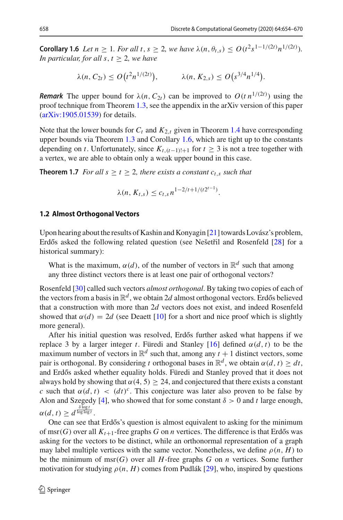**Corollary 1.6** *Let*  $n \ge 1$ *. For all t*,  $s \ge 2$ *, we have*  $\lambda(n, \theta_{t,s}) \le O(t^2 s^{1-1/(2t)} n^{1/(2t)})$ *. In particular, for all s,*  $t > 2$ *, we have* 

$$
\lambda(n, C_{2t}) \le O(t^2 n^{1/(2t)}), \qquad \lambda(n, K_{2,s}) \le O(s^{3/4} n^{1/4}).
$$

*Remark* The upper bound for  $\lambda(n, C_{2t})$  can be improved to  $O(t n^{1/(2t)})$  using the proof technique from Theorem [1.3,](#page-2-1) see the appendix in the arXiv version of this paper [\(arXiv:1905.01539\)](http://arxiv.org/abs/1905.01539) for details.

Note that the lower bounds for  $C_t$  and  $K_{2,t}$  given in Theorem [1.4](#page-3-1) have corresponding upper bounds via Theorem [1.3](#page-2-1) and Corollary [1.6,](#page-3-2) which are tight up to the constants depending on *t*. Unfortunately, since  $K_{t,(t-1)!+1}$  for  $t \geq 3$  is not a tree together with a vertex, we are able to obtain only a weak upper bound in this case.

**Theorem 1.7** *For all s*  $\geq t \geq 2$ *, there exists a constant c<sub>t,s</sub> such that* 

<span id="page-4-0"></span>
$$
\lambda(n, K_{t,s}) \leq c_{t,s} n^{1-2/t+1/(t2^{t-1})}.
$$

# **1.2 Almost Orthogonal Vectors**

Upon hearing about the results of Kashin and Konyagin [\[21\]](#page-16-7) towards Lovász's problem, Erdős asked the following related question (see Nešetřil and Rosenfeld [\[28](#page-16-10)] for a historical summary):

What is the maximum,  $\alpha(d)$ , of the number of vectors in  $\mathbb{R}^d$  such that among any three distinct vectors there is at least one pair of orthogonal vectors?

Rosenfeld [\[30](#page-16-11)] called such vectors *almost orthogonal*. By taking two copies of each of the vectors from a basis in  $\mathbb{R}^d$ , we obtain 2d almost orthogonal vectors. Erdős believed that a construction with more than 2*d* vectors does not exist, and indeed Rosenfeld showed that  $\alpha(d) = 2d$  (see Deaett [\[10\]](#page-16-12) for a short and nice proof which is slightly more general).

After his initial question was resolved, Erdős further asked what happens if we replace 3 by a larger integer *t*. Füredi and Stanley [\[16](#page-16-13)] defined α(*d*, *t*) to be the maximum number of vectors in  $\mathbb{R}^d$  such that, among any  $t + 1$  distinct vectors, some pair is orthogonal. By considering *t* orthogonal bases in  $\mathbb{R}^d$ , we obtain  $\alpha(d, t) > dt$ , and Erdős asked whether equality holds. Füredi and Stanley proved that it does not always hold by showing that  $\alpha(4, 5) \geq 24$ , and conjectured that there exists a constant *c* such that  $\alpha(d, t) < (dt)^c$ . This conjecture was later also proven to be false by Alon and Szegedy [\[4](#page-15-2)], who showed that for some constant  $\delta > 0$  and t large enough,  $\alpha(d, t) \geq d^{\frac{\delta \log t}{\log \log t}}.$ 

One can see that Erdős's question is almost equivalent to asking for the minimum of msr(*G*) over all  $K_{t+1}$ -free graphs *G* on *n* vertices. The difference is that Erdős was asking for the vectors to be distinct, while an orthonormal representation of a graph may label multiple vertices with the same vector. Nonetheless, we define  $\rho(n, H)$  to be the minimum of msr(*G*) over all *H*-free graphs *G* on *n* vertices. Some further motivation for studying  $\rho(n, H)$  comes from Pudlák [\[29\]](#page-16-14), who, inspired by questions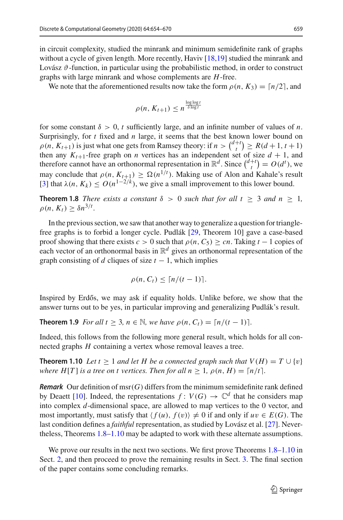in circuit complexity, studied the minrank and minimum semidefinite rank of graphs without a cycle of given length. More recently, Haviv  $[18,19]$  $[18,19]$  studied the minrank and Lovász  $\vartheta$ -function, in particular using the probabilistic method, in order to construct graphs with large minrank and whose complements are *H*-free.

We note that the aforementioned results now take the form  $\rho(n, K_3) = \lceil n/2 \rceil$ , and

<span id="page-5-0"></span>
$$
\rho(n, K_{t+1}) \leq n^{\frac{\log \log t}{\delta \log t}}
$$

for some constant  $\delta > 0$ , *t* sufficiently large, and an infinite number of values of *n*. Surprisingly, for *t* fixed and *n* large, it seems that the best known lower bound on  $\rho(n, K_{t+1})$  is just what one gets from Ramsey theory: if  $n > {d+t \choose t} \ge R(d+1, t+1)$ then any  $K_{t+1}$ -free graph on *n* vertices has an independent set of size  $d + 1$ , and therefore cannot have an orthonormal representation in  $\mathbb{R}^d$ . Since  $\binom{d+t}{t} = O(d^t)$ , we may conclude that  $\rho(n, K_{t+1}) \ge \Omega(n^{1/t})$ . Making use of Alon and Kahale's result [\[3](#page-15-1)] that  $\lambda(n, K_k) \leq O(n^{1-2/k})$ , we give a small improvement to this lower bound.

**Theorem 1.8** *There exists a constant*  $\delta > 0$  *such that for all*  $t \geq 3$  *and*  $n \geq 1$ *,*  $\rho(n, K_t) \geq \delta n^{3/t}$ .

In the previous section, we saw that another way to generalize a question for trianglefree graphs is to forbid a longer cycle. Pudlák [\[29](#page-16-14), Theorem 10] gave a case-based proof showing that there exists  $c > 0$  such that  $\rho(n, C_5) \geq cn$ . Taking  $t - 1$  copies of each vector of an orthonormal basis in R*<sup>d</sup>* gives an orthonormal representation of the graph consisting of *d* cliques of size  $t - 1$ , which implies

<span id="page-5-2"></span><span id="page-5-1"></span>
$$
\rho(n, C_t) \leq \lceil n/(t-1) \rceil.
$$

Inspired by Erdős, we may ask if equality holds. Unlike before, we show that the answer turns out to be yes, in particular improving and generalizing Pudlák's result.

**Theorem 1.9** *For all t*  $\geq 3$ *, n*  $\in \mathbb{N}$ *, we have*  $\rho(n, C_t) = \frac{n}{t-1}$ .

Indeed, this follows from the following more general result, which holds for all connected graphs *H* containing a vertex whose removal leaves a tree.

**Theorem 1.10** *Let*  $t > 1$  *and let*  $H$  *be a connected graph such that*  $V(H) = T \cup \{v\}$ *where*  $H[T]$  *is a tree on t vertices. Then for all*  $n \geq 1$ *,*  $\rho(n, H) = \lceil n/t \rceil$ *.* 

*Remark* Our definition of  $msr(G)$  differs from the minimum semidefinite rank defined by Deaett [\[10](#page-16-12)]. Indeed, the representations  $f: V(G) \to \mathbb{C}^d$  that he considers map into complex *d*-dimensional space, are allowed to map vertices to the 0 vector, and most importantly, must satisfy that  $\langle f(u), f(v) \rangle \neq 0$  if and only if  $uv \in E(G)$ . The last condition defines a *faithful* representation, as studied by Lovász et al. [\[27](#page-16-17)]. Nevertheless, Theorems [1.8–](#page-5-0)[1.10](#page-5-1) may be adapted to work with these alternate assumptions.

We prove our results in the next two sections. We first prove Theorems [1.8–](#page-5-0)[1.10](#page-5-1) in Sect. [2,](#page-6-0) and then proceed to prove the remaining results in Sect. [3.](#page-7-0) The final section of the paper contains some concluding remarks.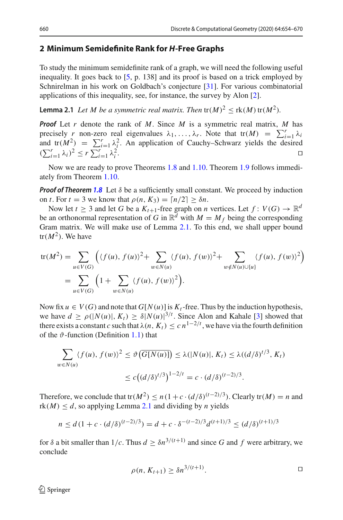# <span id="page-6-0"></span>**2 Minimum Semidefinite Rank for** *H***-Free Graphs**

To study the minimum semidefinite rank of a graph, we will need the following useful inequality. It goes back to [\[5,](#page-15-3) p. 138] and its proof is based on a trick employed by Schnirelman in his work on Goldbach's conjecture [\[31](#page-16-18)]. For various combinatorial applications of this inequality, see, for instance, the survey by Alon [\[2](#page-15-4)].

<span id="page-6-1"></span>**Lemma 2.1** *Let M be a symmetric real matrix. Then*  $tr(M)^2 < rk(M)$   $tr(M^2)$ *.* 

*Proof* Let *r* denote the rank of *M*. Since *M* is a symmetric real matrix, *M* has precisely *r* non-zero real eigenvalues  $\lambda_1, \ldots, \lambda_r$ . Note that  $tr(M) = \sum_{i=1}^r \lambda_i$ and  $tr(M^2) = \sum_{i=1}^r \lambda_i^2$ . An application of Cauchy–Schwarz yields the desired  $(\sum_{i=1}^r \lambda_i)^2 \leq r \sum_{i=1}^r \lambda_i^2$  $\frac{2}{i}$ .

Now we are ready to prove Theorems [1.8](#page-5-0) and [1.10.](#page-5-1) Theorem [1.9](#page-5-2) follows immediately from Theorem [1.10.](#page-5-1)

*Proof of Theorem* [1.8](#page-5-0) Let  $\delta$  be a sufficiently small constant. We proceed by induction on *t*. For  $t = 3$  we know that  $\rho(n, K_3) = \lceil n/2 \rceil \geq \delta n$ .

Now let  $t \geq 3$  and let *G* be a  $K_{t+1}$ -free graph on *n* vertices. Let  $f: V(G) \to \mathbb{R}^d$ be an orthonormal representation of *G* in  $\mathbb{R}^d$  with  $M = M_f$  being the corresponding Gram matrix. We will make use of Lemma [2.1.](#page-6-1) To this end, we shall upper bound  $tr(M^2)$ . We have

$$
\text{tr}(M^2) = \sum_{u \in V(G)} \left( \langle f(u), f(u) \rangle^2 + \sum_{w \in N(u)} \langle f(u), f(w) \rangle^2 + \sum_{w \notin N(u) \cup \{u\}} \langle f(u), f(w) \rangle^2 \right)
$$
  
= 
$$
\sum_{u \in V(G)} \left( 1 + \sum_{w \in N(u)} \langle f(u), f(w) \rangle^2 \right).
$$

Now fix  $u \in V(G)$  and note that  $G[N(u)]$  is  $K_t$ -free. Thus by the induction hypothesis, we have  $d \ge \rho(|N(u)|, K_t) \ge \delta |N(u)|^{3/t}$ . Since Alon and Kahale [\[3](#page-15-1)] showed that there exists a constant *c* such that  $\lambda(n, K_t) \leq c n^{1-2/t}$ , we have via the fourth definition of the  $\vartheta$ -function (Definition [1.1\)](#page-1-1) that

$$
\sum_{w \in N(u)} \langle f(u), f(w) \rangle^2 \le \vartheta \left( \overline{G[N(u)]} \right) \le \lambda(|N(u)|, K_t) \le \lambda \left( \frac{d}{\delta} \right)^{t/3}, K_t)
$$
  

$$
\le c \left( \frac{d}{\delta} \right)^{t/3} \bigg)^{1-2/t} = c \cdot \frac{d}{\delta} \left( \frac{d}{\delta} \right)^{(t-2)/3}.
$$

Therefore, we conclude that tr $(M^2) \le n(1+c \cdot (d/\delta)^{(t-2)/3})$ . Clearly tr $(M) = n$  and  $rk(M) \leq d$ , so applying Lemma [2.1](#page-6-1) and dividing by *n* yields

$$
n \le d\left(1 + c \cdot (d/\delta)^{(t-2)/3}\right) = d + c \cdot \delta^{-(t-2)/3} d^{(t+1)/3} \le (d/\delta)^{(t+1)/3}
$$

for  $\delta$  a bit smaller than  $1/c$ . Thus  $d \geq \delta n^{3/(t+1)}$  and since G and f were arbitrary, we conclude

$$
\rho(n, K_{t+1}) \ge \delta n^{3/(t+1)}.
$$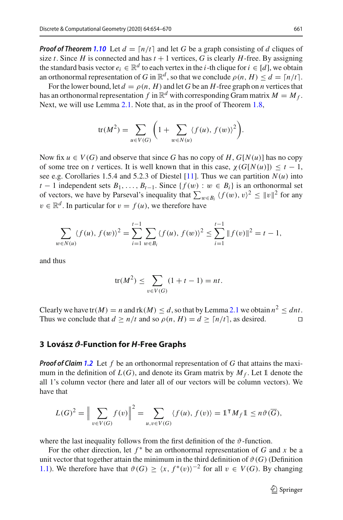*Proof of Theorem* **[1.10](#page-5-1)** Let  $d = \lfloor n/t \rfloor$  and let G be a graph consisting of d cliques of size *t*. Since *H* is connected and has  $t + 1$  vertices, *G* is clearly *H*-free. By assigning the standard basis vector  $e_i \in \mathbb{R}^d$  to each vertex in the *i*-th clique for  $i \in [d]$ , we obtain an orthonormal representation of *G* in  $\mathbb{R}^d$ , so that we conclude  $\rho(n, H) \leq d = \lceil n/t \rceil$ .

For the lower bound, let  $d = \rho(n, H)$  and let *G* be an *H*-free graph on *n* vertices that has an orthonormal representation *f* in  $\mathbb{R}^d$  with corresponding Gram matrix  $M = M_f$ . Next, we will use Lemma [2.1.](#page-6-1) Note that, as in the proof of Theorem [1.8,](#page-5-0)

$$
\operatorname{tr}(M^2) = \sum_{u \in V(G)} \left( 1 + \sum_{w \in N(u)} \langle f(u), f(w) \rangle^2 \right).
$$

Now fix  $u \in V(G)$  and observe that since G has no copy of H,  $G[N(u)]$  has no copy of some tree on *t* vertices. It is well known that in this case,  $\chi(G[N(u)]) \leq t - 1$ , see e.g. Corollaries 1.5.4 and 5.2.3 of Diestel [\[11](#page-16-19)]. Thus we can partition  $N(u)$  into *t* − 1 independent sets  $B_1, \ldots, B_{t-1}$ . Since { $f(w) : w \in B_i$ } is an orthonormal set of vectors, we have by Parseval's inequality that  $\sum_{w \in B_i} \langle f(w), v \rangle^2 \le ||v||^2$  for any  $v \in \mathbb{R}^d$ . In particular for  $v = f(u)$ , we therefore have

$$
\sum_{w \in N(u)} \langle f(u), f(w) \rangle^2 = \sum_{i=1}^{t-1} \sum_{w \in B_i} \langle f(u), f(w) \rangle^2 \le \sum_{i=1}^{t-1} ||f(v)||^2 = t - 1,
$$

and thus

$$
tr(M^{2}) \leq \sum_{v \in V(G)} (1 + t - 1) = nt.
$$

Clearly we have tr( $M$ ) = *n* and  $rk(M) \le d$ , so that by Lemma [2.1](#page-6-1) we obtain  $n^2 \le dnt$ . Thus we conclude that  $d > n/t$  and so  $\rho(n, H) = d > \lceil n/t \rceil$ , as desired.

## <span id="page-7-0"></span>**3 Lovász** *#***-Function for** *H***-Free Graphs**

*Proof of Claim [1.2](#page-2-0)* Let *f* be an orthonormal representation of *G* that attains the maximum in the definition of  $L(G)$ , and denote its Gram matrix by  $M_f$ . Let 1 denote the all 1's column vector (here and later all of our vectors will be column vectors). We have that

$$
L(G)^2 = \Big\|\sum_{v \in V(G)} f(v)\Big\|^2 = \sum_{u,v \in V(G)} \langle f(u), f(v) \rangle = \mathbb{1}^\mathsf{T} M_f \mathbb{1} \le n \vartheta(\overline{G}),
$$

where the last inequality follows from the first definition of the  $\vartheta$ -function.

For the other direction, let  $f^*$  be an orthonormal representation of *G* and *x* be a unit vector that together attain the minimum in the third definition of  $\vartheta(G)$  (Definition [1.1\)](#page-1-1). We therefore have that  $\vartheta(G) \geq \langle x, f^*(v) \rangle^{-2}$  for all  $v \in V(G)$ . By changing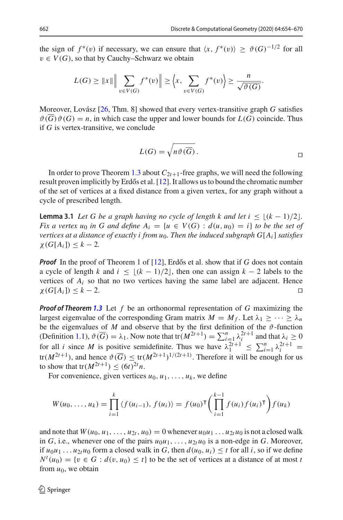the sign of  $f^*(v)$  if necessary, we can ensure that  $\langle x, f^*(v) \rangle \ge \vartheta(G)^{-1/2}$  for all  $v \in V(G)$ , so that by Cauchy–Schwarz we obtain

$$
L(G) \geq ||x|| \left\| \sum_{v \in V(G)} f^*(v) \right\| \geq \left\langle x, \sum_{v \in V(G)} f^*(v) \right\rangle \geq \frac{n}{\sqrt{\vartheta(G)}}.
$$

Moreover, Lovász [\[26,](#page-16-0) Thm. 8] showed that every vertex-transitive graph *G* satisfies  $\vartheta(\overline{G})\vartheta(G) = n$ , in which case the upper and lower bounds for  $L(G)$  coincide. Thus if *G* is vertex-transitive, we conclude

<span id="page-8-0"></span>
$$
L(G) = \sqrt{n\vartheta(\overline{G})}.
$$

In order to prove Theorem [1.3](#page-2-1) about  $C_{2t+1}$ -free graphs, we will need the following result proven implicitly by Erdős et al. [\[12\]](#page-16-20). It allows us to bound the chromatic number of the set of vertices at a fixed distance from a given vertex, for any graph without a cycle of prescribed length.

**Lemma 3.1** *Let G be a graph having no cycle of length k and let i*  $\leq$   $\lfloor (k-1)/2 \rfloor$ . *Fix a vertex u*<sub>0</sub> *in G and define*  $A_i = \{u \in V(G) : d(u, u_0) = i\}$  *to be the set of vertices at a distance of exactly i from u*0*. Then the induced subgraph G*[*Ai*] *satisfies*  $\chi(G[A_i]) \leq k - 2.$ 

*Proof* In the proof of Theorem 1 of [\[12](#page-16-20)], Erdős et al. show that if *G* does not contain a cycle of length *k* and  $i \leq \lfloor (k-1)/2 \rfloor$ , then one can assign  $k-2$  labels to the vertices of  $A_i$  so that no two vertices having the same label are adjacent. Hence  $\chi(G[A_i]) \leq k - 2.$ 

*Proof of Theorem [1.3](#page-2-1)* Let *f* be an orthonormal representation of *G* maximizing the largest eigenvalue of the corresponding Gram matrix  $M = M_f$ . Let  $\lambda_1 \geq \cdots \geq \lambda_n$ be the eigenvalues of *M* and observe that by the first definition of the  $\vartheta$ -function (Definition [1.1\)](#page-1-1),  $\vartheta(\overline{G}) = \lambda_1$ . Now note that  $tr(M^{2t+1}) = \sum_{i=1}^n \lambda_i^{2t+1}$  and that  $\lambda_i \geq 0$ for all *i* since *M* is positive semidefinite. Thus we have  $\lambda_1^{2t+1} \le \sum_{i=1}^n \lambda_i^{2t+1} =$  $tr(M^{2t+1})$ , and hence  $\vartheta(\overline{G}) \le tr(M^{2t+1})^{1/(2t+1)}$ . Therefore it will be enough for us to show that  $tr(M^{2t+1}) \le (6t)^{2t} n$ .

For convenience, given vertices  $u_0, u_1, \ldots, u_k$ , we define

$$
W(u_0, ..., u_k) = \prod_{i=1}^k \langle f(u_{i-1}), f(u_i) \rangle = f(u_0)^\mathsf{T} \bigg( \prod_{i=1}^{k-1} f(u_i) f(u_i)^\mathsf{T} \bigg) f(u_k)
$$

and note that  $W(u_0, u_1, \ldots, u_{2t}, u_0) = 0$  whenever  $u_0u_1 \ldots u_{2t}u_0$  is not a closed walk in *G*, i.e., whenever one of the pairs  $u_0u_1, \ldots, u_{2t}u_0$  is a non-edge in *G*. Moreover, if  $u_0u_1 \ldots u_{2t}u_0$  form a closed walk in *G*, then  $d(u_0, u_i) \leq t$  for all *i*, so if we define  $N^t(u_0) = \{v \in G : d(v, u_0) \leq t\}$  to be the set of vertices at a distance of at most *t* from  $u_0$ , we obtain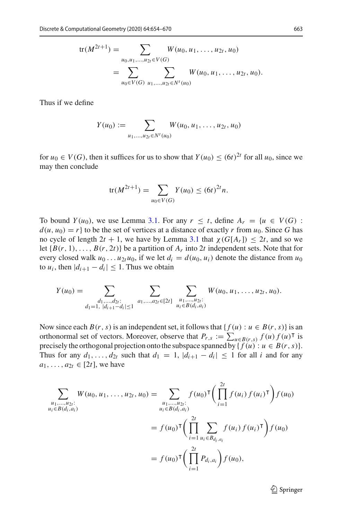$$
\operatorname{tr}(M^{2t+1}) = \sum_{u_0, u_1, \dots, u_{2t} \in V(G)} W(u_0, u_1, \dots, u_{2t}, u_0)
$$
  
= 
$$
\sum_{u_0 \in V(G)} \sum_{u_1, \dots, u_{2t} \in N^t(u_0)} W(u_0, u_1, \dots, u_{2t}, u_0).
$$

Thus if we define

$$
Y(u_0) := \sum_{u_1,\ldots,u_{2t} \in N^t(u_0)} W(u_0,u_1,\ldots,u_{2t},u_0)
$$

for  $u_0 \in V(G)$ , then it suffices for us to show that  $Y(u_0) \le (6t)^{2t}$  for all  $u_0$ , since we may then conclude

$$
\text{tr}(M^{2t+1}) = \sum_{u_0 \in V(G)} Y(u_0) \le (6t)^{2t} n.
$$

To bound  $Y(u_0)$ , we use Lemma [3.1.](#page-8-0) For any  $r \leq t$ , define  $A_r = \{u \in V(G) :$  $d(u, u_0) = r$  to be the set of vertices at a distance of exactly *r* from  $u_0$ . Since *G* has no cycle of length  $2t + 1$ , we have by Lemma [3.1](#page-8-0) that  $\chi(G[A_r]) \leq 2t$ , and so we let  ${B(r, 1), \ldots, B(r, 2t)}$  be a partition of  $A_r$  into 2*t* independent sets. Note that for every closed walk  $u_0 \dots u_{2t} u_0$ , if we let  $d_i = d(u_0, u_i)$  denote the distance from  $u_0$ to  $u_i$ , then  $|d_{i+1} - d_i| \leq 1$ . Thus we obtain

$$
Y(u_0) = \sum_{\substack{d_1,\ldots,d_{2t}:\\d_1=1,\ |d_{i+1}-d_i|\leq 1}} \sum_{\substack{a_1,\ldots,a_{2t}\in [2t]}} \sum_{\substack{u_1,\ldots,u_{2t}:\\u_i\in B(d_i,a_i)}} W(u_0,u_1,\ldots,u_{2t},u_0).
$$

Now since each  $B(r, s)$  is an independent set, it follows that  $\{f(u): u \in B(r, s)\}$  is an orthonormal set of vectors. Moreover, observe that  $P_{r,s} := \sum_{u \in B(r,s)} f(u) f(u)^\intercal$  is precisely the orthogonal projection onto the subspace spanned by  $\{f(u): u \in B(r, s)\}.$ Thus for any  $d_1, \ldots, d_{2t}$  such that  $d_1 = 1$ ,  $|d_{i+1} - d_i| \leq 1$  for all *i* and for any  $a_1, \ldots, a_{2t} \in [2t]$ , we have

$$
\sum_{\substack{u_1, \dots, u_{2i}: \\ u_i \in B(d_i, a_i)}} W(u_0, u_1, \dots, u_{2t}, u_0) = \sum_{\substack{u_1, \dots, u_{2i}: \\ u_i \in B(d_i, a_i)}} f(u_0)^\mathsf{T} \left( \prod_{i=1}^{2t} f(u_i) f(u_i)^\mathsf{T} \right) f(u_0)
$$
\n
$$
= f(u_0)^\mathsf{T} \left( \prod_{i=1}^{2t} \sum_{u_i \in B_{d_i, a_i}} f(u_i) f(u_i)^\mathsf{T} \right) f(u_0)
$$
\n
$$
= f(u_0)^\mathsf{T} \left( \prod_{i=1}^{2t} P_{d_i, a_i} \right) f(u_0),
$$

<sup>2</sup> Springer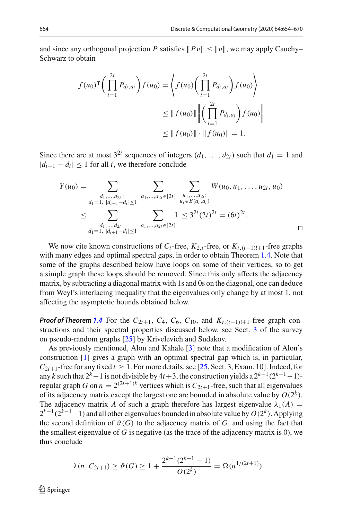and since any orthogonal projection *P* satisfies  $||Pv|| \le ||v||$ , we may apply Cauchy– Schwarz to obtain

$$
f(u_0)^{\mathsf{T}} \bigg( \prod_{i=1}^{2t} P_{d_i, a_i} \bigg) f(u_0) = \bigg\langle f(u_0) \bigg( \prod_{i=1}^{2t} P_{d_i, a_i} \bigg) f(u_0) \bigg\rangle
$$
  

$$
\leq \| f(u_0) \| \bigg\| \bigg( \prod_{i=1}^{2t} P_{d_i, a_i} \bigg) f(u_0) \bigg\|
$$
  

$$
\leq \| f(u_0) \| \cdot \| f(u_0) \| = 1.
$$

Since there are at most  $3^{2t}$  sequences of integers  $(d_1, \ldots, d_{2t})$  such that  $d_1 = 1$  and  $|d_{i+1} - d_i| \leq 1$  for all *i*, we therefore conclude

$$
Y(u_0) = \sum_{\substack{d_1, \dots, d_{2t}: \\ d_1 = 1, \ |d_{i+1} - d_i| \le 1}} \sum_{\substack{a_1, \dots, a_{2t} \in [2t] \\ a_1 \text{, } \dots, a_{2t} \in B(d_i, a_i)}} \sum_{\substack{u_1, \dots, u_{2t}: \\ u_i \in B(d_i, a_i)}} W(u_0, u_1, \dots, u_{2t}, u_0)
$$
  

$$
\le \sum_{\substack{d_1, \dots, d_{2t}: \\ d_1 = 1, \ |d_{i+1} - d_i| \le 1}} \sum_{a_1, \dots, a_{2t} \in [2t]} 1 \le 3^{2t} (2t)^{2t} = (6t)^{2t}.
$$

We now cite known constructions of  $C_t$ -free,  $K_{2,t}$ -free, or  $K_{t,(t-1)!+1}$ -free graphs with many edges and optimal spectral gaps, in order to obtain Theorem [1.4.](#page-3-1) Note that some of the graphs described below have loops on some of their vertices, so to get a simple graph these loops should be removed. Since this only affects the adjacency matrix, by subtracting a diagonal matrix with 1s and 0s on the diagonal, one can deduce from Weyl's interlacing inequality that the eigenvalues only change by at most 1, not affecting the asymptotic bounds obtained below.

*Proof of Theorem* [1.4](#page-3-1) For the  $C_{2t+1}$ ,  $C_4$ ,  $C_6$ ,  $C_{10}$ , and  $K_{t,(t-1)!+1}$ -free graph constructions and their spectral properties discussed below, see Sect. [3](#page-7-0) of the survey on pseudo-random graphs [\[25\]](#page-16-9) by Krivelevich and Sudakov.

As previously mentioned, Alon and Kahale [\[3\]](#page-15-1) note that a modification of Alon's construction [\[1\]](#page-15-0) gives a graph with an optimal spectral gap which is, in particular,  $C_{2t+1}$ -free for any fixed  $t \ge 1$ . For more details, see [\[25](#page-16-9), Sect. 3, Exam. 10]. Indeed, for any *k* such that  $2^k - 1$  is not divisible by  $4t + 3$ , the construction yields a  $2^{k-1}(2^{k-1}-1)$ regular graph *G* on  $n = 2^{(2t+1)k}$  vertices which is  $C_{2t+1}$ -free, such that all eigenvalues of its adjacency matrix except the largest one are bounded in absolute value by  $O(2^k)$ . The adjacency matrix *A* of such a graph therefore has largest eigenvalue  $\lambda_1(A)$  =  $2^{k-1}(2^{k-1}-1)$  and all other eigenvalues bounded in absolute value by  $O(2^k)$ . Applying the second definition of  $\vartheta(\overline{G})$  to the adjacency matrix of *G*, and using the fact that the smallest eigenvalue of  $G$  is negative (as the trace of the adjacency matrix is 0), we thus conclude

$$
\lambda(n, C_{2t+1}) \ge \vartheta(\overline{G}) \ge 1 + \frac{2^{k-1}(2^{k-1}-1)}{O(2^k)} = \Omega(n^{1/(2t+1)}).
$$

 $\textcircled{2}$  Springer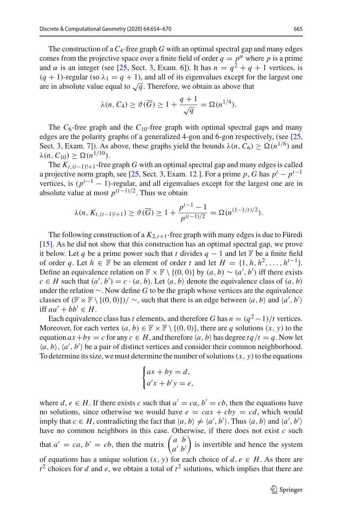The construction of a  $C_4$ -free graph G with an optimal spectral gap and many edges comes from the projective space over a finite field of order  $q = p^{\alpha}$  where p is a prime and  $\alpha$  is an integer (see [\[25](#page-16-9), Sect. 3, Exam. 6]). It has  $n = q^2 + q + 1$  vertices, is  $(q + 1)$ -regular (so  $\lambda_1 = q + 1$ ), and all of its eigenvalues except for the largest one are in absolute value equal to  $\sqrt{q}$ . Therefore, we obtain as above that

$$
\lambda(n, C_4) \ge \vartheta(\overline{G}) \ge 1 + \frac{q+1}{\sqrt{q}} = \Omega(n^{1/4}).
$$

The  $C_6$ -free graph and the  $C_{10}$ -free graph with optimal spectral gaps and many edges are the polarity graphs of a generalized 4-gon and 6-gon respectively, (see [\[25,](#page-16-9) Sect. 3, Exam. 7]). As above, these graphs yield the bounds  $\lambda(n, C_6) \ge \Omega(n^{1/6})$  and  $\lambda(n, C_{10}) \geq \Omega(n^{1/10}).$ 

The  $K_{t,(t-1)!+1}$ -free graph *G* with an optimal spectral gap and many edges is called a projective norm graph, see [\[25,](#page-16-9) Sect. 3, Exam. 12.]. For a prime *p*, *G* has  $p^t - p^{t-1}$ vertices, is  $(p^{t-1} - 1)$ -regular, and all eigenvalues except for the largest one are in absolute value at most  $p^{(t-1)/2}$ . Thus we obtain

$$
\lambda(n, K_{t, (t-1)!+1}) \geq \vartheta(\overline{G}) \geq 1 + \frac{p^{t-1} - 1}{p^{(t-1)/2}} = \Omega(n^{(1-1/t)/2}).
$$

The following construction of a  $K_{2,t+1}$ -free graph with many edges is due to Füredi [\[15](#page-16-21)]. As he did not show that this construction has an optimal spectral gap, we prove it below. Let *q* be a prime power such that *t* divides  $q - 1$  and let F be a finite field of order q. Let  $h \in \mathbb{F}$  be an element of order t and let  $H = \{1, h, h^2, \ldots, h^{t-1}\}.$ Define an equivalence relation on  $\mathbb{F} \times \mathbb{F} \setminus \{(0, 0)\}$  by  $(a, b) \sim (a', b')$  iff there exists  $c \in H$  such that  $(a', b') = c \cdot (a, b)$ . Let  $\langle a, b \rangle$  denote the equivalence class of  $(a, b)$ under the relation ∼. Now define *G* to be the graph whose vertices are the equivalence classes of  $(\mathbb{F} \times \mathbb{F} \setminus \{(0, 0)\}) / \sim$ , such that there is an edge between  $\langle a, b \rangle$  and  $\langle a', b' \rangle$ iff  $aa' + bb' \in H$ .

Each equivalence class has *t* elements, and therefore *G* has  $n = (q^2 - 1)/t$  vertices. Moreover, for each vertex  $(a, b) \in \mathbb{F} \times \mathbb{F} \setminus \{(0, 0)\}\)$ , there are *q* solutions  $(x, y)$  to the equation  $ax + by = c$  for any  $c \in H$ , and therefore  $\langle a, b \rangle$  has degree  $tq/t = q$ . Now let  $(a, b)$ ,  $\langle a', b' \rangle$  be a pair of distinct vertices and consider their common neighborhood. To determine its size, we must determine the number of solutions  $(x, y)$  to the equations

$$
\begin{cases} ax + by = d, \\ a'x + b'y = e, \end{cases}
$$

where  $d, e \in H$ . If there exists c such that  $a' = ca, b' = cb$ , then the equations have no solutions, since otherwise we would have  $e = cax + cby = cd$ , which would imply that *c*  $\in$  *H*, contradicting the fact that  $\langle a, b \rangle \neq \langle a', b' \rangle$ . Thus  $\langle a, b \rangle$  and  $\langle a', b' \rangle$ have no common neighbors in this case. Otherwise, if there does not exist *c* such that  $a' = ca, b' = cb$ , then the matrix  $\begin{pmatrix} a & b \\ a' & b' \end{pmatrix}$ ) is invertible and hence the system of equations has a unique solution  $(x, y)$  for each choice of  $d, e \in H$ . As there are  $t^2$  choices for *d* and *e*, we obtain a total of  $t^2$  solutions, which implies that there are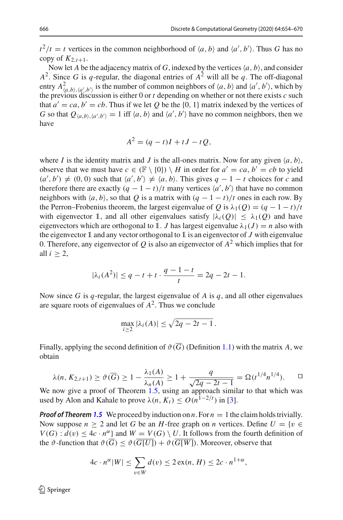$t^2/t = t$  vertices in the common neighborhood of  $\langle a, b \rangle$  and  $\langle a', b' \rangle$ . Thus *G* has no copy of  $K_{2,t+1}$ .

Now let *A* be the adjacency matrix of *G*, indexed by the vertices  $\langle a, b \rangle$ , and consider  $A^2$ . Since *G* is *q*-regular, the diagonal entries of  $A^2$  will all be *q*. The off-diagonal entry  $A^2_{(a,b),(a',b')}$  is the number of common neighbors of  $\langle a, b \rangle$  and  $\langle a', b' \rangle$ , which by the previous discussion is either 0 or *t* depending on whether or not there exists *c* such the previous discussion is either 0 or *t* depending on whether or not there exists *c* such that  $a' = ca, b' = cb$ . Thus if we let Q be the {0, 1} matrix indexed by the vertices of *G* so that  $Q_{\langle a,b\rangle,\langle a',b'\rangle} = 1$  iff  $\langle a,b\rangle$  and  $\langle a',b'\rangle$  have no common neighbors, then we have

$$
A^2 = (q - t)I + tJ - tQ,
$$

where *I* is the identity matrix and *J* is the all-ones matrix. Now for any given  $\langle a, b \rangle$ , observe that we must have  $c \in (\mathbb{F} \setminus \{0\}) \setminus H$  in order for  $a' = ca, b' = cb$  to yield  $(a', b') \neq (0, 0)$  such that  $\langle a', b' \rangle \neq \langle a, b \rangle$ . This gives  $q - 1 - t$  choices for *c* and therefore there are exactly  $(q - 1 - t)/t$  many vertices  $\langle a', b' \rangle$  that have no common neighbors with  $\langle a, b \rangle$ , so that *Q* is a matrix with  $(q - 1 - t)/t$  ones in each row. By the Perron–Frobenius theorem, the largest eigenvalue of *Q* is  $\lambda_1(Q) = (q - 1 - t)/t$ with eigenvector 1, and all other eigenvalues satisfy  $|\lambda_i(Q)| \leq \lambda_1(Q)$  and have eigenvectors which are orthogonal to 1. *J* has largest eigenvalue  $\lambda_1(J) = n$  also with the eigenvector 1 and any vector orthogonal to 1 is an eigenvector of *J* with eigenvalue 0. Therefore, any eigenvector of  $Q$  is also an eigenvector of  $A^2$  which implies that for all  $i \geq 2$ ,

$$
|\lambda_i(A^2)| \le q - t + t \cdot \frac{q - 1 - t}{t} = 2q - 2t - 1.
$$

Now since *G* is *q*-regular, the largest eigenvalue of *A* is *q*, and all other eigenvalues are square roots of eigenvalues of  $A^2$ . Thus we conclude

$$
\max_{i\geq 2} |\lambda_i(A)| \leq \sqrt{2q-2t-1}.
$$

Finally, applying the second definition of  $\vartheta(\overline{G})$  (Definition [1.1\)](#page-1-1) with the matrix A, we obtain

$$
\lambda(n, K_{2,t+1}) \ge \vartheta(\overline{G}) \ge 1 - \frac{\lambda_1(A)}{\lambda_n(A)} \ge 1 + \frac{q}{\sqrt{2q - 2t - 1}} = \Omega(t^{1/4}n^{1/4}).
$$

used by Alon and Kahale to prove  $\lambda(n, K_t) \leq O(n^{1-2/t})$  in [\[3](#page-15-1)].

*Proof of Theorem* **[1.5](#page-3-0)** We proceed by induction on *n*. For  $n = 1$  the claim holds trivially. Now suppose  $n \geq 2$  and let G be an H-free graph on n vertices. Define  $U = \{v \in$  $V(G)$ :  $d(v) \leq 4c \cdot n^{\alpha}$  and  $W = V(G) \setminus U$ . It follows from the fourth definition of the  $\vartheta$ -function that  $\vartheta(\overline{G}) \leq \vartheta(\overline{G[U]}) + \vartheta(\overline{G[W]})$ . Moreover, observe that

$$
4c \cdot n^{\alpha} |W| \le \sum_{v \in W} d(v) \le 2 \operatorname{ex}(n, H) \le 2c \cdot n^{1+\alpha},
$$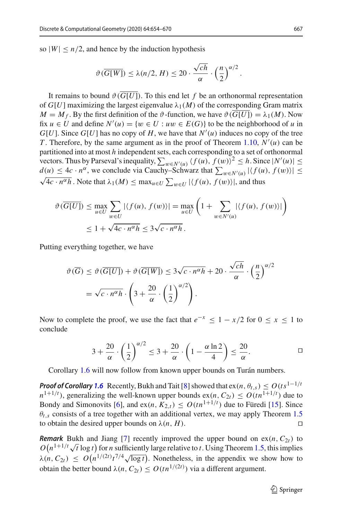so  $|W| \leq n/2$ , and hence by the induction hypothesis

$$
\vartheta(\overline{G[W]}) \le \lambda(n/2, H) \le 20 \cdot \frac{\sqrt{ch}}{\alpha} \cdot \left(\frac{n}{2}\right)^{\alpha/2}.
$$

It remains to bound  $\vartheta(\overline{G[U]})$ . To this end let f be an orthonormal representation of  $G[U]$  maximizing the largest eigenvalue  $\lambda_1(M)$  of the corresponding Gram matrix  $M = M_f$ . By the first definition of the  $\vartheta$ -function, we have  $\vartheta(\overline{G[U]}) = \lambda_1(M)$ . Now fix  $u \in U$  and define  $N'(u) = \{w \in U : uw \in E(G)\}$  to be the neighborhood of *u* in *G*[*U*]. Since *G*[*U*] has no copy of *H*, we have that  $N'(u)$  induces no copy of the tree *T* . Therefore, by the same argument as in the proof of Theorem [1.10,](#page-5-1) *N* (*u*) can be partitioned into at most *h* independent sets, each corresponding to a set of orthonormal vectors. Thus by Parseval's inequality,  $\sum_{w \in N'(u)} (f(u), f(w))^2 \leq h$ . Since  $|N'(u)| \leq$  $d(u) \leq 4c \cdot n^{\alpha}$ , we conclude via Cauchy–Schwarz that  $\sum_{w \in N'(u)} |\langle f(u), f(w) \rangle| \leq$  $\sqrt{4c \cdot n^{\alpha}h}$ . Note that  $\lambda_1(M) \le \max_{u \in U} \sum_{w \in U} |\langle f(u), f(w) \rangle|$ , and thus

$$
\vartheta(\overline{G[U]}) \le \max_{u \in U} \sum_{w \in U} |\langle f(u), f(w) \rangle| = \max_{u \in U} \left( 1 + \sum_{w \in N'(u)} |\langle f(u), f(w) \rangle| \right)
$$
  

$$
\le 1 + \sqrt{4c \cdot n^{\alpha} h} \le 3\sqrt{c \cdot n^{\alpha} h}.
$$

Putting everything together, we have

$$
\vartheta(\overline{G}) \leq \vartheta(\overline{G[U]}) + \vartheta(\overline{G[W]}) \leq 3\sqrt{c \cdot n^{\alpha} h} + 20 \cdot \frac{\sqrt{ch}}{\alpha} \cdot \left(\frac{n}{2}\right)^{\alpha/2}
$$

$$
= \sqrt{c \cdot n^{\alpha} h} \cdot \left(3 + \frac{20}{\alpha} \cdot \left(\frac{1}{2}\right)^{\alpha/2}\right).
$$

Now to complete the proof, we use the fact that  $e^{-x} \leq 1 - x/2$  for  $0 \leq x \leq 1$  to conclude

$$
3 + \frac{20}{\alpha} \cdot \left(\frac{1}{2}\right)^{\alpha/2} \le 3 + \frac{20}{\alpha} \cdot \left(1 - \frac{\alpha \ln 2}{4}\right) \le \frac{20}{\alpha}.
$$

Corollary [1.6](#page-3-2) will now follow from known upper bounds on Turán numbers.

*Proof of Corollary* [1.6](#page-3-2) Recently, Bukh and Tait [\[8](#page-16-22)] showed that  $ex(n, \theta_{t,s}) \leq O(ts^{1-1/t})$  $n^{1+1/t}$ ), generalizing the well-known upper bounds  $ex(n, C_{2t}) \leq O(tn^{1+1/t})$  due to Bondy and Simonovits [\[6\]](#page-16-23), and  $ex(n, K_{2,t}) \leq O(tn^{1+1/t})$  due to Füredi [\[15](#page-16-21)]. Since  $\theta_{t,s}$  consists of a tree together with an additional vertex, we may apply Theorem [1.5](#page-3-0) to obtain the desired upper bounds on  $\lambda(n, H)$ .

*Remark* Bukh and Jiang [\[7](#page-16-24)] recently improved the upper bound on  $ex(n, C_{2t})$  to  $O(n^{1+1/t}\sqrt{t} \log t)$  for *n* sufficiently large relative to *t*. Using Theorem [1.5,](#page-3-0) this implies  $\lambda(n, C_{2t}) \leq O(n^{1/(2t)}t^{7/4}\sqrt{\log t})$ . Nonetheless, in the appendix we show how to obtain the better bound  $\lambda(n, C_{2t}) \leq O(tn^{1/(2t)})$  via a different argument.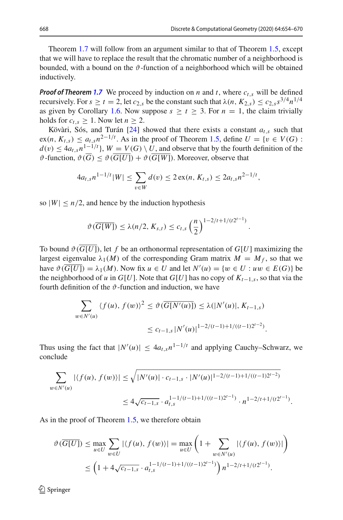.

Theorem [1.7](#page-4-0) will follow from an argument similar to that of Theorem [1.5,](#page-3-0) except that we will have to replace the result that the chromatic number of a neighborhood is bounded, with a bound on the  $\vartheta$ -function of a neighborhood which will be obtained inductively.

*Proof of Theorem [1.7](#page-4-0)* We proceed by induction on *n* and *t*, where  $c_{t,s}$  will be defined recursively. For  $s \ge t = 2$ , let  $c_{2,s}$  be the constant such that  $\lambda(n, K_{2,s}) \le c_{2,s} s^{3/4} n^{1/4}$ as given by Corollary [1.6.](#page-3-2) Now suppose  $s \ge t \ge 3$ . For  $n = 1$ , the claim trivially holds for  $c_t$ ,  $> 1$ . Now let  $n > 2$ .

Kövàri, Sós, and Turán [\[24\]](#page-16-25) showed that there exists a constant *at*,*<sup>s</sup>* such that  $ex(n, K_{t,s}) \leq a_{t,s} n^{2-1/t}$ . As in the proof of Theorem [1.5,](#page-3-0) define  $U = \{v \in V(G) :$  $d(v) \leq 4a_{t,s}n^{1-1/t}$ ,  $W = V(G) \setminus U$ , and observe that by the fourth definition of the  $\vartheta$ -function,  $\vartheta(\overline{G}) \leq \vartheta(\overline{G|U|}) + \vartheta(\overline{G|W|})$ . Moreover, observe that

$$
4a_{t,s}n^{1-1/t}|W| \leq \sum_{v \in W} d(v) \leq 2\exp(n, K_{t,s}) \leq 2a_{t,s}n^{2-1/t},
$$

so  $|W| \leq n/2$ , and hence by the induction hypothesis

$$
\vartheta(\overline{G[W]}) \le \lambda(n/2, K_{s,t}) \le c_{t,s} \left(\frac{n}{2}\right)^{1-2/t+1/(t2^{t-1})}
$$

To bound  $\vartheta$  ( $\overline{G[U]}$ ), let f be an orthonormal representation of  $G[U]$  maximizing the largest eigenvalue  $\lambda_1(M)$  of the corresponding Gram matrix  $M = M_f$ , so that we have  $\vartheta(G[U]) = \lambda_1(M)$ . Now fix  $u \in U$  and let  $N'(u) = \{w \in U : uw \in E(G)\}$  be the neighborhood of *u* in  $G[U]$ . Note that  $G[U]$  has no copy of  $K_{t-1,s}$ , so that via the fourth definition of the  $\vartheta$ -function and induction, we have

$$
\sum_{w \in N'(u)} \langle f(u), f(w) \rangle^2 \le \vartheta(\overline{G[N'(u)]}) \le \lambda(|N'(u)|, K_{t-1,s})
$$
  

$$
\le c_{t-1,s} |N'(u)|^{1-2/(t-1)+1/((t-1)2^{t-2})}.
$$

Thus using the fact that  $|N'(u)| \leq 4a_{t,s}n^{1-1/t}$  and applying Cauchy–Schwarz, we conclude

$$
\sum_{w \in N'(u)} |\langle f(u), f(w) \rangle| \le \sqrt{|N'(u)| \cdot c_{t-1,s} \cdot |N'(u)|^{1-2/(t-1)+1/((t-1)2^{t-2})}}
$$
  

$$
\le 4\sqrt{c_{t-1,s}} \cdot a_{t,s}^{1-1/(t-1)+1/((t-1)2^{t-1})} \cdot n^{1-2/t+1/(t2^{t-1})}.
$$

As in the proof of Theorem [1.5,](#page-3-0) we therefore obtain

$$
\vartheta(\overline{G[U]}) \le \max_{u \in U} \sum_{w \in U} |\langle f(u), f(w) \rangle| = \max_{u \in U} \left( 1 + \sum_{w \in N'(u)} |\langle f(u), f(w) \rangle| \right)
$$
  

$$
\le \left( 1 + 4\sqrt{c_{t-1,s}} \cdot a_{t,s}^{1-1/(t-1)+1/(t-1)2^{t-1})} \right) n^{1-2/t+1/(t2^{t-1})}.
$$

 $\textcircled{2}$  Springer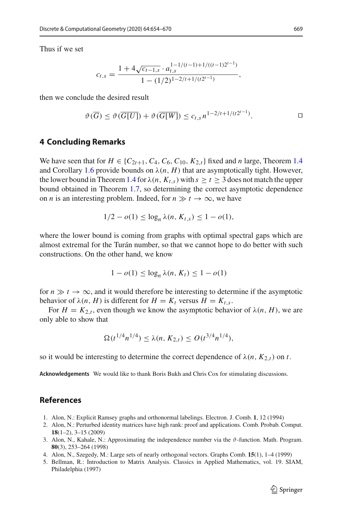Thus if we set

$$
c_{t,s} = \frac{1 + 4\sqrt{c_{t-1,s}} \cdot a_{t,s}^{1-1/(t-1)+1/((t-1)2^{t-1})}}{1 - (1/2)^{1-2/t+1/(t2^{t-1})}},
$$

then we conclude the desired result

$$
\vartheta(\overline{G}) \leq \vartheta(\overline{G[U]}) + \vartheta(\overline{G[W]}) \leq c_{t,s} n^{1-2/t+1/(t2^{t-1})}.
$$

#### **4 Concluding Remarks**

We have seen that for  $H \in \{C_{2t+1}, C_4, C_6, C_{10}, K_{2,t}\}$  fixed and *n* large, Theorem [1.4](#page-3-1) and Corollary [1.6](#page-3-2) provide bounds on  $\lambda(n, H)$  that are asymptotically tight. However, the lower bound in Theorem [1.4](#page-3-1) for  $\lambda(n, K_{t,s})$  with  $s \ge t \ge 3$  does not match the upper bound obtained in Theorem [1.7,](#page-4-0) so determining the correct asymptotic dependence on *n* is an interesting problem. Indeed, for  $n \gg t \to \infty$ , we have

$$
1/2 - o(1) \le \log_n \lambda(n, K_{t,s}) \le 1 - o(1),
$$

where the lower bound is coming from graphs with optimal spectral gaps which are almost extremal for the Turán number, so that we cannot hope to do better with such constructions. On the other hand, we know

$$
1 - o(1) \le \log_n \lambda(n, K_t) \le 1 - o(1)
$$

for  $n \gg t \to \infty$ , and it would therefore be interesting to determine if the asymptotic behavior of  $\lambda(n, H)$  is different for  $H = K_t$  versus  $H = K_{t,s}$ .

For  $H = K_{2,t}$ , even though we know the asymptotic behavior of  $\lambda(n, H)$ , we are only able to show that

$$
\Omega(t^{1/4}n^{1/4}) \leq \lambda(n, K_{2,t}) \leq O(t^{3/4}n^{1/4}),
$$

so it would be interesting to determine the correct dependence of  $\lambda(n, K_{2,t})$  on *t*.

**Acknowledgements** We would like to thank Boris Bukh and Chris Cox for stimulating discussions.

## **References**

- <span id="page-15-0"></span>1. Alon, N.: Explicit Ramsey graphs and orthonormal labelings. Electron. J. Comb. **1**, 12 (1994)
- <span id="page-15-4"></span>2. Alon, N.: Perturbed identity matrices have high rank: proof and applications. Comb. Probab. Comput. **18**(1–2), 3–15 (2009)
- <span id="page-15-1"></span>3. Alon, N., Kahale, N.: Approximating the independence number via the  $\vartheta$ -function. Math. Program. **80**(3), 253–264 (1998)
- <span id="page-15-2"></span>4. Alon, N., Szegedy, M.: Large sets of nearly orthogonal vectors. Graphs Comb. **15**(1), 1–4 (1999)
- <span id="page-15-3"></span>5. Bellman, R.: Introduction to Matrix Analysis. Classics in Applied Mathematics, vol. 19. SIAM, Philadelphia (1997)